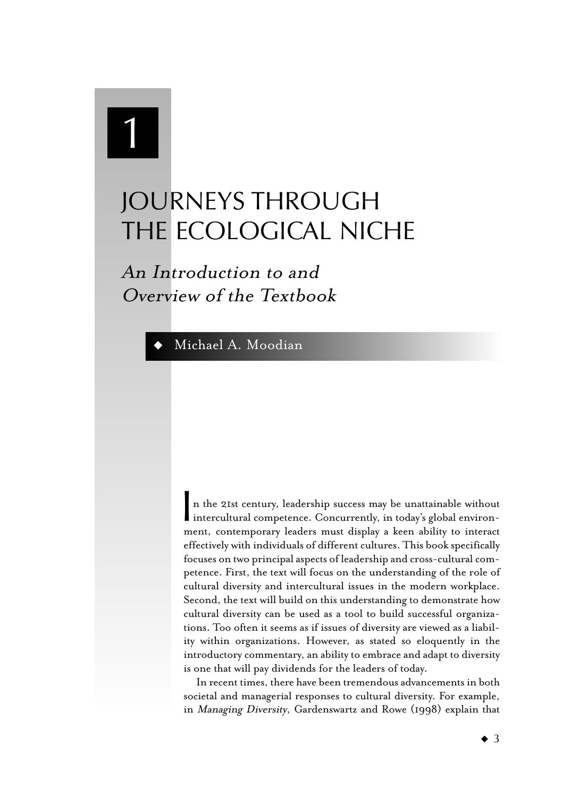# 1

## JOURNEYS THROUGH THE ECOLOGICAL NICHE

An Introduction to and Overview of the Textbook

### Michael A. Moodian

**I** n the 21st century, leadership success may be unattainable without intercultural competence. Concurrently, in today's global environment, contemporary leaders must display a keen ability to interact effectively with individuals of different cultures. This book specifically focuses on two principal aspects of leadership and cross-cultural competence. First, the text will focus on the understanding of the role of cultural diversity and intercultural issues in the modern workplace. Second, the text will build on this understanding to demonstrate how cultural diversity can be used as a tool to build successful organizations. Too often it seems as if issues of diversity are viewed as a liability within organizations. However, as stated so eloquently in the introductory commentary, an ability to embrace and adapt to diversity is one that will pay dividends for the leaders of today.

In recent times, there have been tremendous advancements in both societal and managerial responses to cultural diversity. For example, in Managing Diversity, Gardenswartz and Rowe (1998) explain that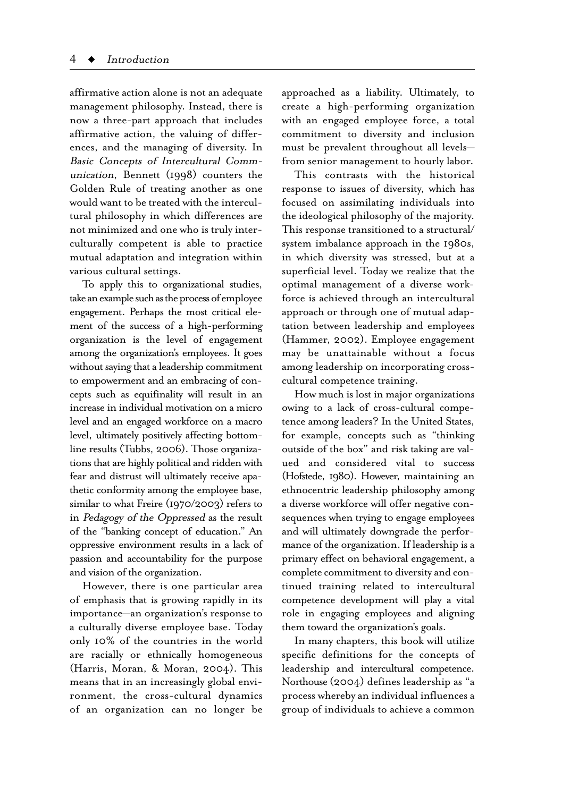affirmative action alone is not an adequate management philosophy. Instead, there is now a three-part approach that includes affirmative action, the valuing of differences, and the managing of diversity. In Basic Concepts of Intercultural Communication, Bennett (1998) counters the Golden Rule of treating another as one would want to be treated with the intercultural philosophy in which differences are not minimized and one who is truly interculturally competent is able to practice mutual adaptation and integration within various cultural settings.

To apply this to organizational studies, take an example such as the process of employee engagement. Perhaps the most critical element of the success of a high-performing organization is the level of engagement among the organization's employees. It goes without saying that a leadership commitment to empowerment and an embracing of concepts such as equifinality will result in an increase in individual motivation on a micro level and an engaged workforce on a macro level, ultimately positively affecting bottomline results (Tubbs, 2006). Those organizations that are highly political and ridden with fear and distrust will ultimately receive apathetic conformity among the employee base, similar to what Freire (1970/2003) refers to in Pedagogy of the Oppressed as the result of the "banking concept of education." An oppressive environment results in a lack of passion and accountability for the purpose and vision of the organization.

However, there is one particular area of emphasis that is growing rapidly in its importance—an organization's response to a culturally diverse employee base. Today only 10% of the countries in the world are racially or ethnically homogeneous (Harris, Moran, & Moran, 2004). This means that in an increasingly global environment, the cross-cultural dynamics of an organization can no longer be

approached as a liability. Ultimately, to create a high-performing organization with an engaged employee force, a total commitment to diversity and inclusion must be prevalent throughout all levels from senior management to hourly labor.

This contrasts with the historical response to issues of diversity, which has focused on assimilating individuals into the ideological philosophy of the majority. This response transitioned to a structural/ system imbalance approach in the 1980s, in which diversity was stressed, but at a superficial level. Today we realize that the optimal management of a diverse workforce is achieved through an intercultural approach or through one of mutual adaptation between leadership and employees (Hammer, 2002). Employee engagement may be unattainable without a focus among leadership on incorporating crosscultural competence training.

How much is lost in major organizations owing to a lack of cross-cultural competence among leaders? In the United States, for example, concepts such as "thinking outside of the box" and risk taking are valued and considered vital to success (Hofstede, 1980). However, maintaining an ethnocentric leadership philosophy among a diverse workforce will offer negative consequences when trying to engage employees and will ultimately downgrade the performance of the organization. If leadership is a primary effect on behavioral engagement, a complete commitment to diversity and continued training related to intercultural competence development will play a vital role in engaging employees and aligning them toward the organization's goals.

In many chapters, this book will utilize specific definitions for the concepts of leadership and intercultural competence. Northouse (2004) defines leadership as "a process whereby an individual influences a group of individuals to achieve a common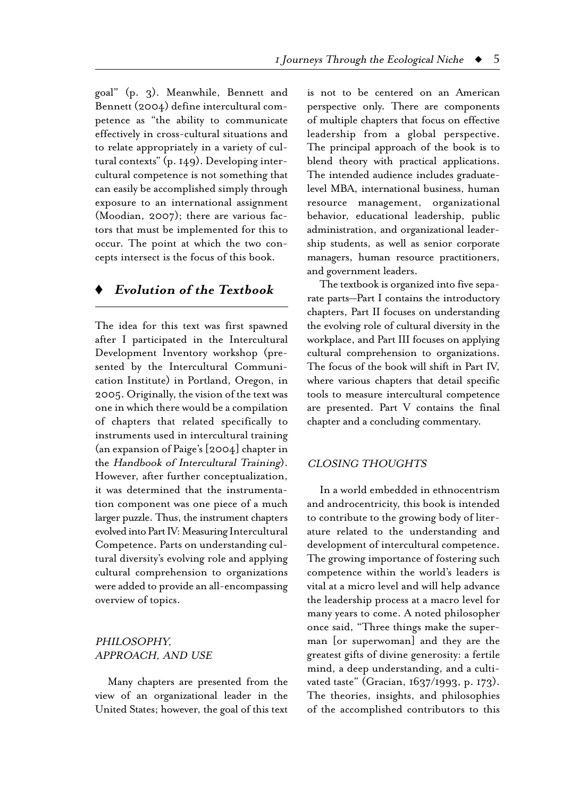goal" (p. 3). Meanwhile, Bennett and Bennett (2004) define intercultural competence as "the ability to communicate effectively in cross-cultural situations and to relate appropriately in a variety of cultural contexts" (p. 149). Developing intercultural competence is not something that can easily be accomplished simply through exposure to an international assignment (Moodian, 2007); there are various factors that must be implemented for this to occur. The point at which the two concepts intersect is the focus of this book.

#### **♦ Evolution of the Textbook**

The idea for this text was first spawned after I participated in the Intercultural Development Inventory workshop (presented by the Intercultural Communication Institute) in Portland, Oregon, in 2005. Originally, the vision of the text was one in which there would be a compilation of chapters that related specifically to instruments used in intercultural training (an expansion of Paige's  $[2004]$  chapter in the Handbook of Intercultural Training). However, after further conceptualization, it was determined that the instrumentation component was one piece of a much larger puzzle. Thus, the instrument chapters evolved into Part IV: Measuring Intercultural Competence. Parts on understanding cultural diversity's evolving role and applying cultural comprehension to organizations were added to provide an all-encompassing overview of topics.

#### PHILOSOPHY, APPROACH, AND USE

Many chapters are presented from the view of an organizational leader in the United States; however, the goal of this text is not to be centered on an American perspective only. There are components of multiple chapters that focus on effective leadership from a global perspective. The principal approach of the book is to blend theory with practical applications. The intended audience includes graduatelevel MBA, international business, human resource management, organizational behavior, educational leadership, public administration, and organizational leadership students, as well as senior corporate managers, human resource practitioners, and government leaders.

The textbook is organized into five separate parts—Part I contains the introductory chapters, Part II focuses on understanding the evolving role of cultural diversity in the workplace, and Part III focuses on applying cultural comprehension to organizations. The focus of the book will shift in Part IV, where various chapters that detail specific tools to measure intercultural competence are presented. Part V contains the final chapter and a concluding commentary.

#### CLOSING THOUGHTS

In a world embedded in ethnocentrism and androcentricity, this book is intended to contribute to the growing body of literature related to the understanding and development of intercultural competence. The growing importance of fostering such competence within the world's leaders is vital at a micro level and will help advance the leadership process at a macro level for many years to come. A noted philosopher once said, "Three things make the superman [or superwoman] and they are the greatest gifts of divine generosity: a fertile mind, a deep understanding, and a cultivated taste" (Gracian, 1637/1993, p. 173). The theories, insights, and philosophies of the accomplished contributors to this